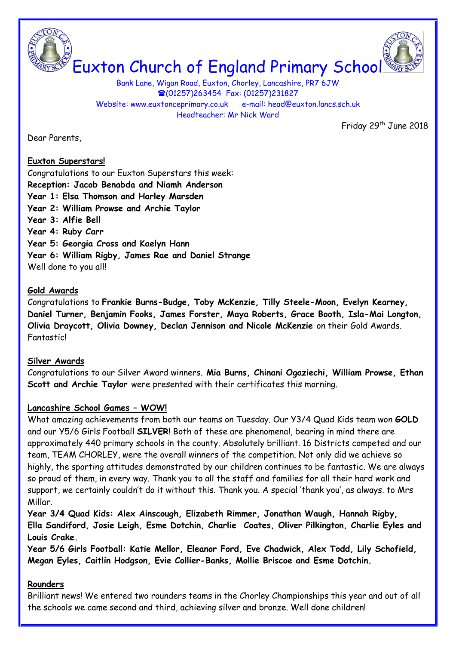

# Euxton Church of England Primary School

Bank Lane, Wigan Road, Euxton, Chorley, Lancashire, PR7 6JW (01257)263454 Fax: (01257)231827 Website: www.euxtonceprimary.co.uk e-mail: [head@euxton.lancs.sch.uk](mailto:head@euxton.lancs.sch.uk) Headteacher: Mr Nick Ward

Friday 29<sup>th</sup> June 2018

Dear Parents,

## **Euxton Superstars!**

Congratulations to our Euxton Superstars this week: **Reception: Jacob Benabda and Niamh Anderson Year 1: Elsa Thomson and Harley Marsden Year 2: William Prowse and Archie Taylor Year 3: Alfie Bell Year 4: Ruby Carr Year 5: Georgia Cross and Kaelyn Hann Year 6: William Rigby, James Rae and Daniel Strange** Well done to you all!

## **Gold Awards**

Congratulations to **Frankie Burns-Budge, Toby McKenzie, Tilly Steele-Moon, Evelyn Kearney, Daniel Turner, Benjamin Fooks, James Forster, Maya Roberts, Grace Booth, Isla-Mai Longton, Olivia Draycott, Olivia Downey, Declan Jennison and Nicole McKenzie** on their Gold Awards. **Fantastic!** 

## **Silver Awards**

Congratulations to our Silver Award winners. **Mia Burns, Chinani Ogaziechi, William Prowse, Ethan Scott and Archie Taylor** were presented with their certificates this morning.

# **Lancashire School Games – WOW!**

What amazing achievements from both our teams on Tuesday. Our Y3/4 Quad Kids team won **GOLD** and our Y5/6 Girls Football **SILVER**! Both of these are phenomenal, bearing in mind there are approximately 440 primary schools in the county. Absolutely brilliant. 16 Districts competed and our team, TEAM CHORLEY, were the overall winners of the competition. Not only did we achieve so highly, the sporting attitudes demonstrated by our children continues to be fantastic. We are always so proud of them, in every way. Thank you to all the staff and families for all their hard work and support, we certainly couldn't do it without this. Thank you. A special 'thank you', as always. to Mrs Millar.

**Year 3/4 Quad Kids: Alex Ainscough, Elizabeth Rimmer, Jonathan Waugh, Hannah Rigby, Ella Sandiford, Josie Leigh, Esme Dotchin, Charlie Coates, Oliver Pilkington, Charlie Eyles and Louis Crake.**

**Year 5/6 Girls Football: Katie Mellor, Eleanor Ford, Eve Chadwick, Alex Todd, Lily Schofield, Megan Eyles, Caitlin Hodgson, Evie Collier-Banks, Mollie Briscoe and Esme Dotchin.**

# **Rounders**

Brilliant news! We entered two rounders teams in the Chorley Championships this year and out of all the schools we came second and third, achieving silver and bronze. Well done children!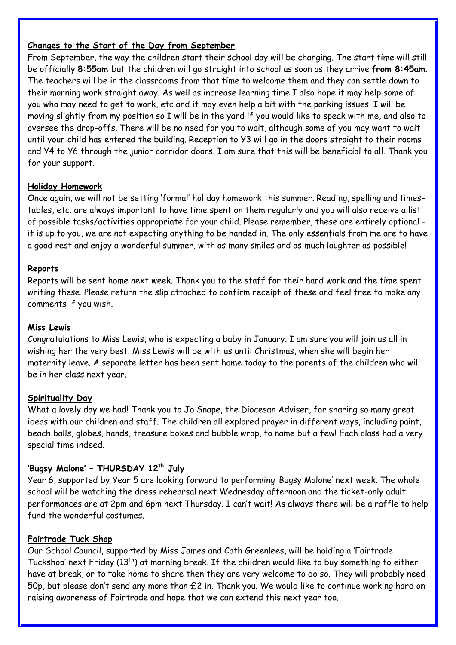# **Changes to the Start of the Day from September**

From September, the way the children start their school day will be changing. The start time will still be officially **8:55am** but the children will go straight into school as soon as they arrive **from 8:45am**. The teachers will be in the classrooms from that time to welcome them and they can settle down to their morning work straight away. As well as increase learning time I also hope it may help some of you who may need to get to work, etc and it may even help a bit with the parking issues. I will be moving slightly from my position so I will be in the yard if you would like to speak with me, and also to oversee the drop-offs. There will be no need for you to wait, although some of you may want to wait until your child has entered the building. Reception to Y3 will go in the doors straight to their rooms and Y4 to Y6 through the junior corridor doors. I am sure that this will be beneficial to all. Thank you for your support.

## **Holiday Homework**

Once again, we will not be setting 'formal' holiday homework this summer. Reading, spelling and timestables, etc. are always important to have time spent on them regularly and you will also receive a list of possible tasks/activities appropriate for your child. Please remember, these are entirely optional it is up to you, we are not expecting anything to be handed in. The only essentials from me are to have a good rest and enjoy a wonderful summer, with as many smiles and as much laughter as possible!

## **Reports**

Reports will be sent home next week. Thank you to the staff for their hard work and the time spent writing these. Please return the slip attached to confirm receipt of these and feel free to make any comments if you wish.

## **Miss Lewis**

Congratulations to Miss Lewis, who is expecting a baby in January. I am sure you will join us all in wishing her the very best. Miss Lewis will be with us until Christmas, when she will begin her maternity leave. A separate letter has been sent home today to the parents of the children who will be in her class next year.

## **Spirituality Day**

What a lovely day we had! Thank you to Jo Snape, the Diocesan Adviser, for sharing so many great ideas with our children and staff. The children all explored prayer in different ways, including paint, beach balls, globes, hands, treasure boxes and bubble wrap, to name but a few! Each class had a very special time indeed.

## **'Bugsy Malone' – THURSDAY 12th July**

Year 6, supported by Year 5 are looking forward to performing 'Bugsy Malone' next week. The whole school will be watching the dress rehearsal next Wednesday afternoon and the ticket-only adult performances are at 2pm and 6pm next Thursday. I can't wait! As always there will be a raffle to help fund the wonderful costumes.

## **Fairtrade Tuck Shop**

Our School Council, supported by Miss James and Cath Greenlees, will be holding a 'Fairtrade Tuckshop' next Friday (13th) at morning break. If the children would like to buy something to either have at break, or to take home to share then they are very welcome to do so. They will probably need 50p, but please don't send any more than £2 in. Thank you. We would like to continue working hard on raising awareness of Fairtrade and hope that we can extend this next year too.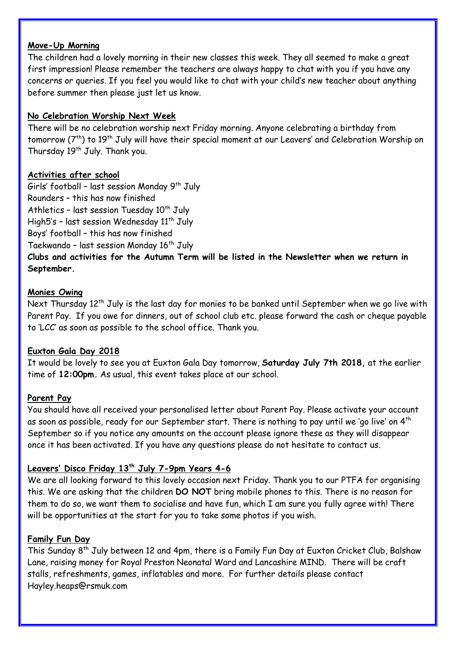## **Move-Up Morning**

The children had a lovely morning in their new classes this week. They all seemed to make a great first impression! Please remember the teachers are always happy to chat with you if you have any concerns or queries. If you feel you would like to chat with your child's new teacher about anything before summer then please just let us know.

## **No Celebration Worship Next Week**

There will be no celebration worship next Friday morning. Anyone celebrating a birthday from tomorrow (7<sup>th</sup>) to 19<sup>th</sup> July will have their special moment at our Leavers' and Celebration Worship on Thursday 19<sup>th</sup> July. Thank you.

#### **Activities after school**

Girls' football - last session Monday  $9<sup>th</sup>$  July Rounders – this has now finished Athletics - last session Tuesday  $10<sup>th</sup>$  July High5's - last session Wednesday  $11<sup>th</sup>$  July Boys' football – this has now finished Taekwando - last session Monday  $16<sup>th</sup>$  July

**Clubs and activities for the Autumn Term will be listed in the Newsletter when we return in September.** 

#### **Monies Owing**

Next Thursday 12<sup>th</sup> July is the last day for monies to be banked until September when we go live with Parent Pay. If you owe for dinners, out of school club etc. please forward the cash or cheque payable to 'LCC' as soon as possible to the school office. Thank you.

## **Euxton Gala Day 2018**

It would be lovely to see you at Euxton Gala Day tomorrow, **Saturday July 7th 2018,** at the earlier time of **12:00pm.** As usual, this event takes place at our school.

#### **Parent Pay**

You should have all received your personalised letter about Parent Pay. Please activate your account as soon as possible, ready for our September start. There is nothing to pay until we 'go live' on 4<sup>th</sup> September so if you notice any amounts on the account please ignore these as they will disappear once it has been activated. If you have any questions please do not hesitate to contact us.

## **Leavers' Disco Friday 13th July 7-9pm Years 4-6**

We are all looking forward to this lovely occasion next Friday. Thank you to our PTFA for organising this. We are asking that the children **DO NOT** bring mobile phones to this. There is no reason for them to do so, we want them to socialise and have fun, which I am sure you fully agree with! There will be opportunities at the start for you to take some photos if you wish.

#### **Family Fun Day**

This Sunday 8th July between 12 and 4pm, there is a Family Fun Day at Euxton Cricket Club, Balshaw Lane, raising money for Royal Preston Neonatal Ward and Lancashire MIND. There will be craft stalls, refreshments, games, inflatables and more. For further details please contact [Hayley.heaps@rsmuk.com](mailto:Hayley.heaps@rsmuk.com)